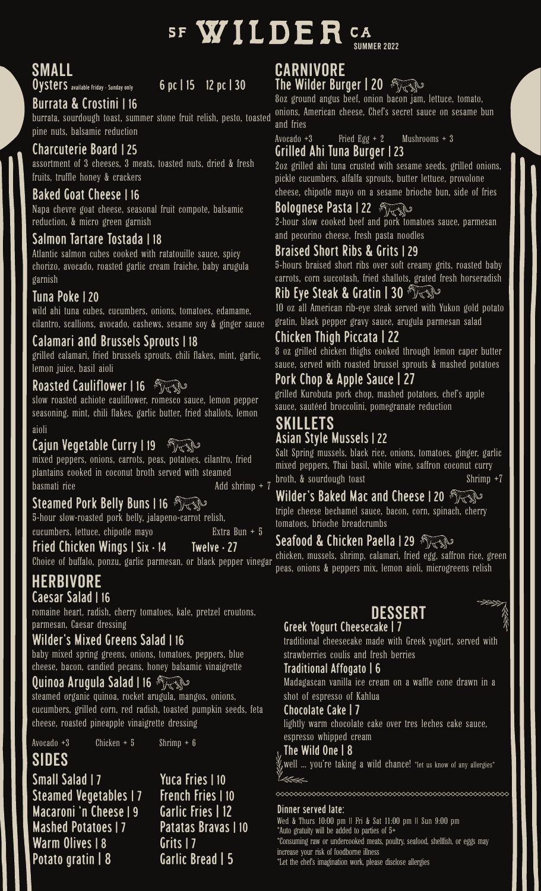

# Small

Oysters available Friday - Sunday only 6 pc | 15 12 pc | 30

### Burrata & Crostini | 16

burrata, sourdough toast, summer stone fruit relish, pesto, toasted pine nuts, balsamic reduction

#### Charcuterie Board | 25

assortment of 3 cheeses, 3 meats, toasted nuts, dried & fresh fruits, truffle honey & crackers

#### Baked Goat Cheese | 16

Napa chevre goat cheese, seasonal fruit compote, balsamic reduction, & micro green garnish

#### Salmon Tartare Tostada | 18

Atlantic salmon cubes cooked with ratatouille sauce, spicy chorizo, avocado, roasted garlic cream fraiche, baby arugula garnish

#### Tuna Poke | 20

wild ahi tuna cubes, cucumbers, onions, tomatoes, edamame, cilantro, scallions, avocado, cashews, sesame soy & ginger sauce

#### Calamari and Brussels Sprouts | 18

grilled calamari, fried brussels sprouts, chili flakes, mint, garlic, lemon juice, basil aioli

#### Roasted Cauliflower | 16

slow roasted achiote cauliflower, romesco sauce, lemon pepper seasoning, mint, chili flakes, garlic butter, fried shallots, lemon

#### aioli

#### Cajun Vegetable Curry | 19

mixed peppers, onions, carrots, peas, potatoes, cilantro, fried plantains cooked in coconut broth served with steamed basmati rice  $\qquad \qquad \text{Add shrimp} + 7$ 

#### Steamed Pork Belly Buns | 16

5-hour slow-roasted pork belly, jalapeno-carrot relish, cucumbers, lettuce, chipotle mayo Extra Bun + 5

#### Fried Chicken Wings | Six • 14 Twelve • 27

Choice of buffalo, ponzu, garlic parmesan, or black pepper vinegar

#### Herbivore Caesar Salad | 16

romaine heart, radish, cherry tomatoes, kale, pretzel croutons, parmesan, Caesar dressing

#### Wilder's Mixed Greens Salad | 16

baby mixed spring greens, onions, tomatoes, peppers, blue cheese, bacon, candied pecans, honey balsamic vinaigrette

#### Quinoa Arugula Salad | 16

steamed organic quinoa, rocket arugula, mangos, onions, cucumbers, grilled corn, red radish, toasted pumpkin seeds, feta cheese, roasted pineapple vinaigrette dressing

Avocado +3 Chicken + 5 Shrimp + 6

# Sides

Small Salad | 7 Yuca Fries | 10 Steamed Vegetables | 7 French Fries | 10 Macaroni 'n Cheese | 9 Garlic Fries | 12 Mashed Potatoes | 7 Patatas Bravas | 10 Warm Olives | 8 Grits | 7 Potato gratin | 8 Garlic Bread | 5

#### Carnivore The Wilder Burger 120 A

8oz ground angus beef, onion bacon jam, lettuce, tomato, onions, American cheese, Chef's secret sauce on sesame bun and fries

Avocado +3 Fried Egg + 2 Mushrooms + 3 Grilled Ahi Tuna Burger | 23

2oz grilled ahi tuna crusted with sesame seeds, grilled onions, pickle cucumbers, alfalfa sprouts, butter lettuce, provolone cheese, chipotle mayo on a sesame brioche bun, side of fries

### **Bolognese Pasta | 22** FASS

2-hour slow cooked beef and pork tomatoes sauce, parmesan and pecorino cheese, fresh pasta noodles

#### Braised Short Ribs & Grits | 29

5-hours braised short ribs over soft creamy grits, roasted baby carrots, corn succotash, fried shallots, grated fresh horseradish

#### Rib Eye Steak & Gratin | 30

10 oz all American rib-eye steak served with Yukon gold potato gratin, black pepper gravy sauce, arugula parmesan salad

#### Chicken Thigh Piccata | 22

8 oz grilled chicken thighs cooked through lemon caper butter sauce, served with roasted brussel sprouts & mashed potatoes

#### Pork Chop & Apple Sauce | 27

grilled Kurobuta pork chop, mashed potatoes, chef's apple sauce, sautéed broccolini, pomegranate reduction

#### Skillets Asian Style Mussels | 22

Salt Spring mussels, black rice, onions, tomatoes, ginger, garlic mixed peppers, Thai basil, white wine, saffron coconut curry broth, & sourdough toast Shrimp +7

#### Wilder's Baked Mac and Cheese | 20

triple cheese bechamel sauce, bacon, corn, spinach, cherry tomatoes, brioche breadcrumbs

### Seafood & Chicken Paella | 29

chicken, mussels, shrimp, calamari, fried egg, saffron rice, green peas, onions & peppers mix, lemon aioli, microgreens relish

#### Greek Yogurt Cheesecake | 7 Dessert



traditional cheesecake made with Greek yogurt, served with strawberries coulis and fresh berries

#### Traditional Affogato | 6

Madagascan vanilla ice cream on a waffle cone drawn in a shot of espresso of Kahlua

#### Chocolate Cake | 7

lightly warm chocolate cake over tres leches cake sauce, espresso whipped cream

#### The Wild One | 8

, well  $\,$  ... you're taking a wild chance! \*let us know of any allergies  $^*$ 

#### Dinner served late:

\*Auto gratuity will be added to parties of 5+ \*Consuming raw or undercooked meats, poultry, seafood, shellfish, or eggs may increase your risk of foodborne illness \*Let the chef's imagination work, please disclose allergies Wed & Thurs 10:00 pm || Fri & Sat 11:00 pm || Sun 9:00 pm